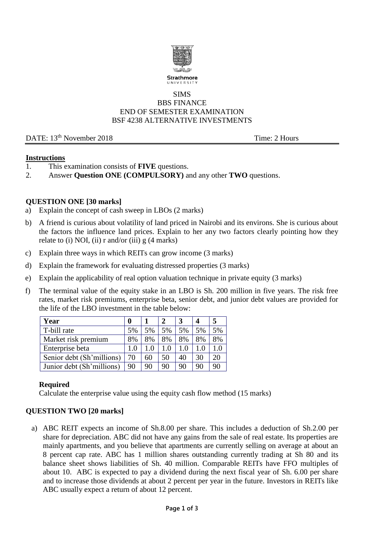

#### SIMS BBS FINANCE END OF SEMESTER EXAMINATION BSF 4238 ALTERNATIVE INVESTMENTS

DATE: 13<sup>th</sup> November 2018 Time: 2 Hours

#### **Instructions**

- 1. This examination consists of **FIVE** questions.
- 2. Answer **Question ONE (COMPULSORY)** and any other **TWO** questions.

### **QUESTION ONE [30 marks]**

- a) Explain the concept of cash sweep in LBOs (2 marks)
- b) A friend is curious about volatility of land priced in Nairobi and its environs. She is curious about the factors the influence land prices. Explain to her any two factors clearly pointing how they relate to (i) NOI, (ii) r and/or (iii)  $g(4 \text{ marks})$
- c) Explain three ways in which REITs can grow income (3 marks)
- d) Explain the framework for evaluating distressed properties (3 marks)
- e) Explain the applicability of real option valuation technique in private equity (3 marks)
- f) The terminal value of the equity stake in an LBO is Sh. 200 million in five years. The risk free rates, market risk premiums, enterprise beta, senior debt, and junior debt values are provided for the life of the LBO investment in the table below:

| Year                      | $\mathbf 0$ |     |    |     | 4  | 5  |
|---------------------------|-------------|-----|----|-----|----|----|
| T-bill rate               | 5%          | 5%  | 5% | 5%  | 5% | 5% |
| Market risk premium       | 8%          | 8%  | 8% | 8%  | 8% | 8% |
| Enterprise beta           | 1.0         | 1.0 |    | 1.0 |    |    |
| Senior debt (Sh'millions) | 70          | 60  | 50 | 40  | 30 | 20 |
| Junior debt (Sh'millions) | 90          | 90  | 90 | 90  | 90 | 90 |

### **Required**

Calculate the enterprise value using the equity cash flow method (15 marks)

### **QUESTION TWO [20 marks]**

a) ABC REIT expects an income of Sh.8.00 per share. This includes a deduction of Sh.2.00 per share for depreciation. ABC did not have any gains from the sale of real estate. Its properties are mainly apartments, and you believe that apartments are currently selling on average at about an 8 percent cap rate. ABC has 1 million shares outstanding currently trading at Sh 80 and its balance sheet shows liabilities of Sh. 40 million. Comparable REITs have FFO multiples of about 10. ABC is expected to pay a dividend during the next fiscal year of Sh. 6.00 per share and to increase those dividends at about 2 percent per year in the future. Investors in REITs like ABC usually expect a return of about 12 percent.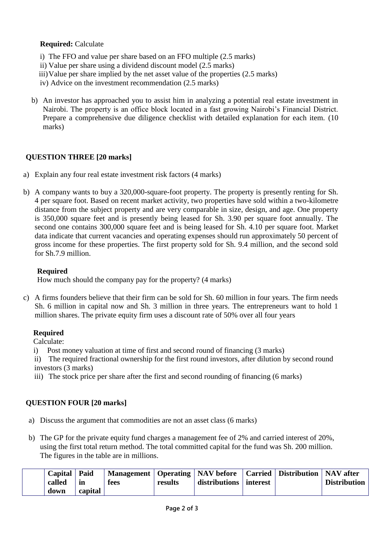## **Required:** Calculate

- i) The FFO and value per share based on an FFO multiple (2.5 marks)
- ii) Value per share using a dividend discount model (2.5 marks)
- iii)Value per share implied by the net asset value of the properties (2.5 marks)
- iv) Advice on the investment recommendation (2.5 marks)
- b) An investor has approached you to assist him in analyzing a potential real estate investment in Nairobi. The property is an office block located in a fast growing Nairobi's Financial District. Prepare a comprehensive due diligence checklist with detailed explanation for each item. (10 marks)

### **QUESTION THREE [20 marks]**

- a) Explain any four real estate investment risk factors (4 marks)
- b) A company wants to buy a 320,000-square-foot property. The property is presently renting for Sh. 4 per square foot. Based on recent market activity, two properties have sold within a two-kilometre distance from the subject property and are very comparable in size, design, and age. One property is 350,000 square feet and is presently being leased for Sh. 3.90 per square foot annually. The second one contains 300,000 square feet and is being leased for Sh. 4.10 per square foot. Market data indicate that current vacancies and operating expenses should run approximately 50 percent of gross income for these properties. The first property sold for Sh. 9.4 million, and the second sold for Sh.7.9 million.

### **Required**

How much should the company pay for the property? (4 marks)

c) A firms founders believe that their firm can be sold for Sh. 60 million in four years. The firm needs Sh. 6 million in capital now and Sh. 3 million in three years. The entrepreneurs want to hold 1 million shares. The private equity firm uses a discount rate of 50% over all four years

### **Required**

Calculate:

- i) Post money valuation at time of first and second round of financing (3 marks)
- ii) The required fractional ownership for the first round investors, after dilution by second round investors (3 marks)
- iii) The stock price per share after the first and second rounding of financing (6 marks)

# **QUESTION FOUR [20 marks]**

- a) Discuss the argument that commodities are not an asset class (6 marks)
- b) The GP for the private equity fund charges a management fee of 2% and carried interest of 20%, using the first total return method. The total committed capital for the fund was Sh. 200 million. The figures in the table are in millions.

| down | called | Capital   Paid<br>în<br>capital | fees | results | Management   Operating   NAV before   Carried   Distribution   NAV after<br>  distributions   interest |  |  | <b>Distribution</b> |
|------|--------|---------------------------------|------|---------|--------------------------------------------------------------------------------------------------------|--|--|---------------------|
|------|--------|---------------------------------|------|---------|--------------------------------------------------------------------------------------------------------|--|--|---------------------|